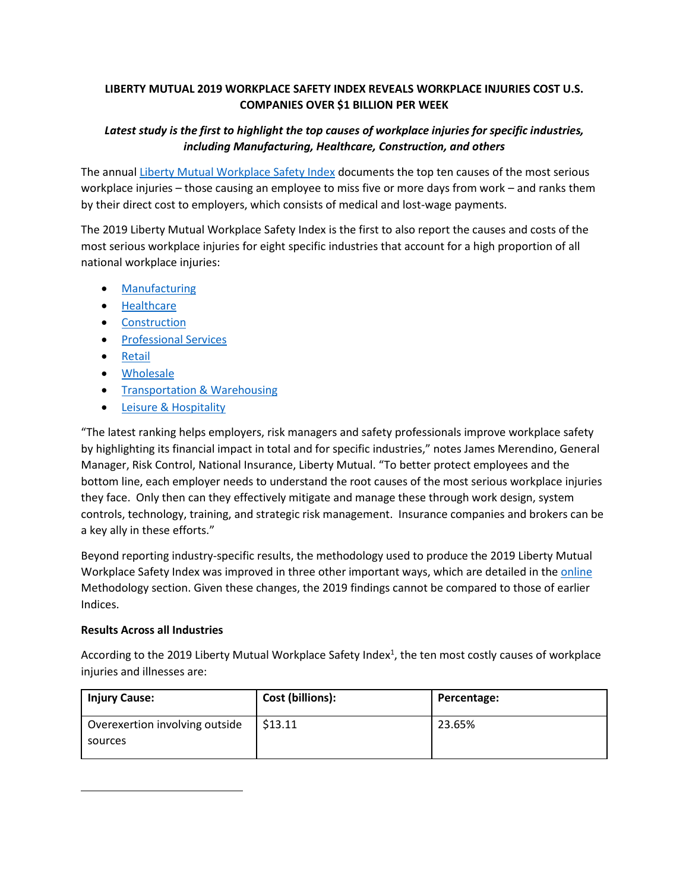# **LIBERTY MUTUAL 2019 WORKPLACE SAFETY INDEX REVEALS WORKPLACE INJURIES COST U.S. COMPANIES OVER \$1 BILLION PER WEEK**

# *Latest study is the first to highlight the top causes of workplace injuries for specific industries, including Manufacturing, Healthcare, Construction, and others*

The annual [Liberty Mutual Workplace Safety Index](https://viewpoint.libertymutualgroup.com/article/top-10-causes-disabling-injuries-at-work-2019/?extcmp=NI_PR_VP_Content_WC) documents the top ten causes of the most serious workplace injuries – those causing an employee to miss five or more days from work – and ranks them by their direct cost to employers, which consists of medical and lost-wage payments.

The 2019 Liberty Mutual Workplace Safety Index is the first to also report the causes and costs of the most serious workplace injuries for eight specific industries that account for a high proportion of all national workplace injuries:

- [Manufacturing](https://business.libertymutualgroup.com/business-insurance/Documents/Services/RC2032.pdf)
- [Healthcare](https://business.libertymutualgroup.com/business-insurance/Documents/Services/RC2030.pdf)
- [Construction](https://business.libertymutualgroup.com/business-insurance/Documents/Services/RC2029.pdf)
- [Professional Services](https://business.libertymutualgroup.com/business-insurance/Documents/Services/RC2033.pdf)
- [Retail](https://business.libertymutualgroup.com/business-insurance/Documents/Services/RC2034.pdf)
- [Wholesale](https://business.libertymutualgroup.com/business-insurance/Documents/Services/RC2036.pdf)
- Transportation [& Warehousing](https://business.libertymutualgroup.com/business-insurance/Documents/Services/RC2035.pdf)
- [Leisure & Hospitality](https://business.libertymutualgroup.com/business-insurance/Documents/Services/RC2031.pdf)

"The latest ranking helps employers, risk managers and safety professionals improve workplace safety by highlighting its financial impact in total and for specific industries," notes James Merendino, General Manager, Risk Control, National Insurance, Liberty Mutual. "To better protect employees and the bottom line, each employer needs to understand the root causes of the most serious workplace injuries they face. Only then can they effectively mitigate and manage these through work design, system controls, technology, training, and strategic risk management. Insurance companies and brokers can be a key ally in these efforts."

Beyond reporting industry-specific results, the methodology used to produce the 2019 Liberty Mutual Workplace Safety Index was improved in three other important ways, which are detailed in th[e online](https://business.libertymutualgroup.com/business-insurance/Documents/Services/DS200.pdf) Methodology section. Given these changes, the 2019 findings cannot be compared to those of earlier Indices.

## **Results Across all Industries**

 $\overline{\phantom{a}}$ 

According to the 2019 Liberty Mutual Workplace Safety Index<sup>1</sup>, the ten most costly causes of workplace injuries and illnesses are:

| <b>Injury Cause:</b>                      | Cost (billions): | Percentage: |
|-------------------------------------------|------------------|-------------|
| Overexertion involving outside<br>sources | \$13.11          | 23.65%      |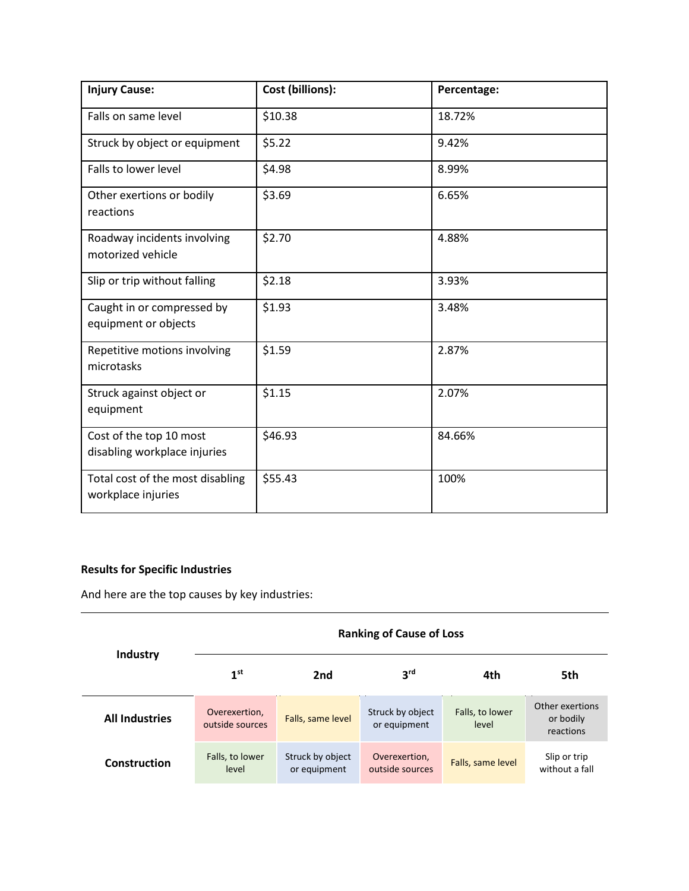| <b>Injury Cause:</b>                                    | Cost (billions): | Percentage: |
|---------------------------------------------------------|------------------|-------------|
| Falls on same level                                     | \$10.38          | 18.72%      |
| Struck by object or equipment                           | \$5.22           | 9.42%       |
| Falls to lower level                                    | \$4.98           | 8.99%       |
| Other exertions or bodily<br>reactions                  | \$3.69           | 6.65%       |
| Roadway incidents involving<br>motorized vehicle        | \$2.70           | 4.88%       |
| Slip or trip without falling                            | \$2.18           | 3.93%       |
| Caught in or compressed by<br>equipment or objects      | \$1.93           | 3.48%       |
| Repetitive motions involving<br>microtasks              | \$1.59           | 2.87%       |
| Struck against object or<br>equipment                   | \$1.15           | 2.07%       |
| Cost of the top 10 most<br>disabling workplace injuries | \$46.93          | 84.66%      |
| Total cost of the most disabling<br>workplace injuries  | \$55.43          | 100%        |

# **Results for Specific Industries**

And here are the top causes by key industries:

| Industry              | <b>Ranking of Cause of Loss</b>  |                                  |                                  |                          |                                           |
|-----------------------|----------------------------------|----------------------------------|----------------------------------|--------------------------|-------------------------------------------|
|                       | 1 <sup>st</sup>                  | 2nd                              | 3 <sup>rd</sup>                  | 4th                      | 5th                                       |
| <b>All Industries</b> | Overexertion,<br>outside sources | Falls, same level                | Struck by object<br>or equipment | Falls, to lower<br>level | Other exertions<br>or bodily<br>reactions |
| Construction          | Falls, to lower<br>level         | Struck by object<br>or equipment | Overexertion,<br>outside sources | Falls, same level        | Slip or trip<br>without a fall            |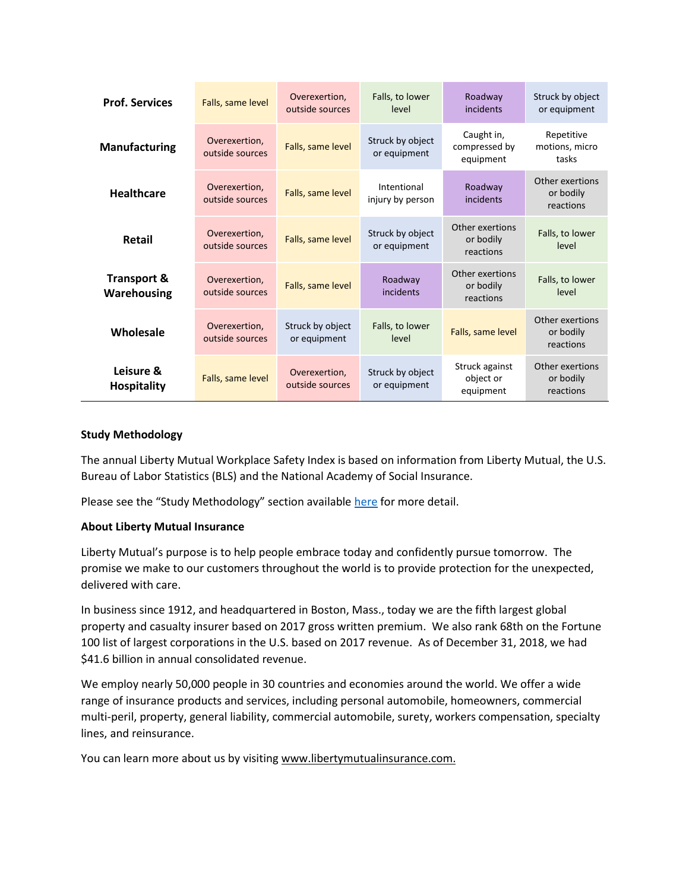| <b>Prof. Services</b>                 | Falls, same level                | Overexertion,<br>outside sources | Falls, to lower<br>level         | Roadway<br>incidents                      | Struck by object<br>or equipment          |
|---------------------------------------|----------------------------------|----------------------------------|----------------------------------|-------------------------------------------|-------------------------------------------|
| <b>Manufacturing</b>                  | Overexertion,<br>outside sources | Falls, same level                | Struck by object<br>or equipment | Caught in,<br>compressed by<br>equipment  | Repetitive<br>motions, micro<br>tasks     |
| <b>Healthcare</b>                     | Overexertion,<br>outside sources | Falls, same level                | Intentional<br>injury by person  | Roadway<br>incidents                      | Other exertions<br>or bodily<br>reactions |
| <b>Retail</b>                         | Overexertion,<br>outside sources | Falls, same level                | Struck by object<br>or equipment | Other exertions<br>or bodily<br>reactions | Falls, to lower<br>level                  |
| <b>Transport &amp;</b><br>Warehousing | Overexertion,<br>outside sources | Falls, same level                | Roadway<br>incidents             | Other exertions<br>or bodily<br>reactions | Falls, to lower<br>level                  |
| Wholesale                             | Overexertion,<br>outside sources | Struck by object<br>or equipment | Falls, to lower<br>level         | Falls, same level                         | Other exertions<br>or bodily<br>reactions |
| Leisure &<br><b>Hospitality</b>       | Falls, same level                | Overexertion,<br>outside sources | Struck by object<br>or equipment | Struck against<br>object or<br>equipment  | Other exertions<br>or bodily<br>reactions |

## **Study Methodology**

The annual Liberty Mutual Workplace Safety Index is based on information from Liberty Mutual, the U.S. Bureau of Labor Statistics (BLS) and the National Academy of Social Insurance.

Please see the "Study Methodology" section available [here](https://business.libertymutualgroup.com/business-insurance/Documents/Services/DS200.pdf) for more detail.

#### **About Liberty Mutual Insurance**

Liberty Mutual's purpose is to help people embrace today and confidently pursue tomorrow. The promise we make to our customers throughout the world is to provide protection for the unexpected, delivered with care.

In business since 1912, and headquartered in Boston, Mass., today we are the fifth largest global property and casualty insurer based on 2017 gross written premium. We also rank 68th on the Fortune 100 list of largest corporations in the U.S. based on 2017 revenue. As of December 31, 2018, we had \$41.6 billion in annual consolidated revenue.

We employ nearly 50,000 people in 30 countries and economies around the world. We offer a wide range of insurance products and services, including personal automobile, homeowners, commercial multi-peril, property, general liability, commercial automobile, surety, workers compensation, specialty lines, and reinsurance.

You can learn more about us by visiting [www.libertymutualinsurance.com.](http://www.libertymutualinsurance.com/)